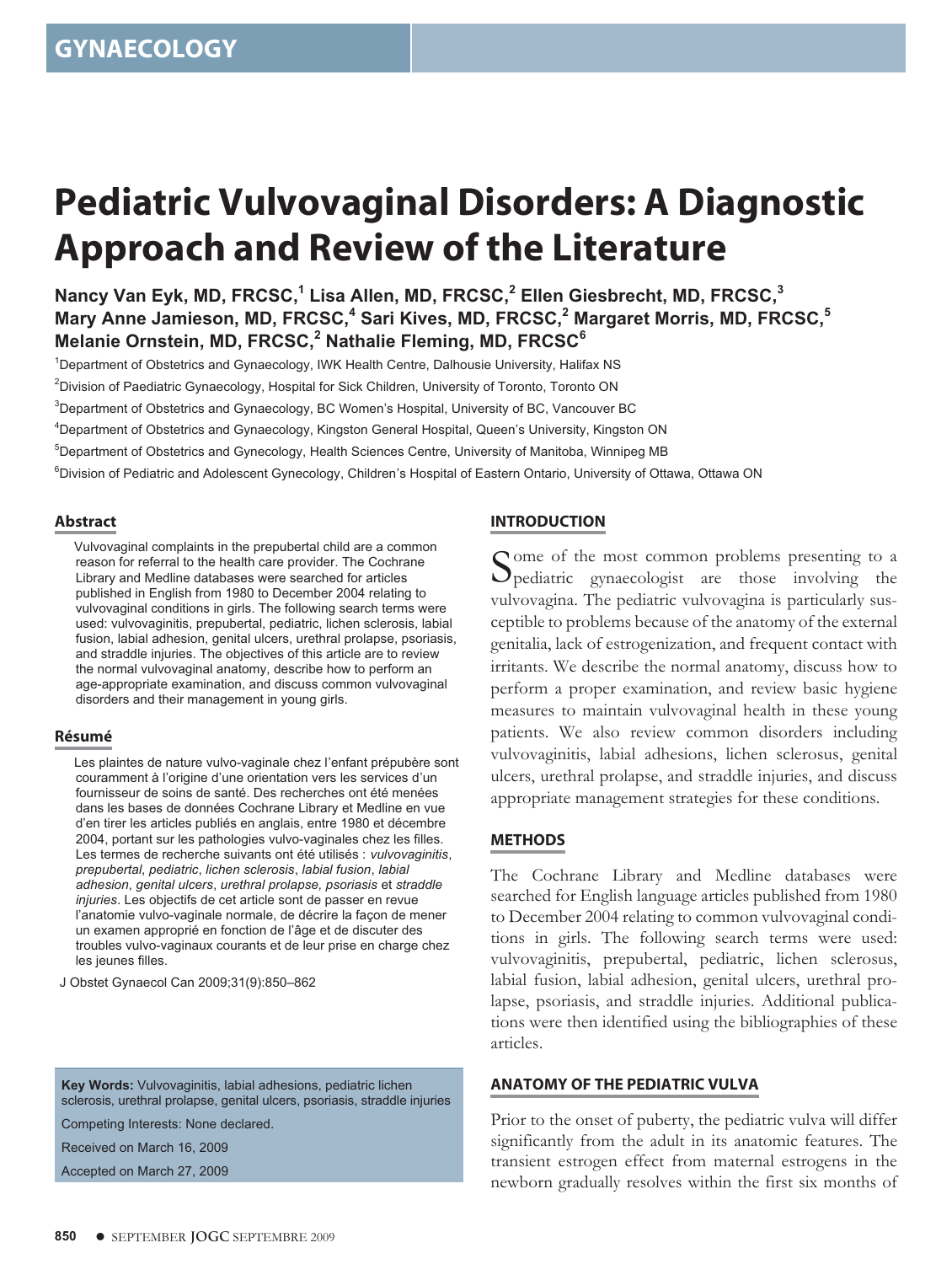# **Pediatric Vulvovaginal Disorders: A Diagnostic Approach and Review of the Literature**

# **Nancy Van Eyk, MD, FRCSC,1 Lisa Allen, MD, FRCSC,<sup>2</sup> Ellen Giesbrecht, MD, FRCSC,<sup>3</sup> Mary Anne Jamieson, MD, FRCSC,<sup>4</sup> Sari Kives, MD, FRCSC,<sup>2</sup> Margaret Morris, MD, FRCSC,5 Melanie Ornstein, MD, FRCSC,<sup>2</sup> Nathalie Fleming, MD, FRCSC<sup>6</sup>**

<sup>1</sup>Department of Obstetrics and Gynaecology, IWK Health Centre, Dalhousie University, Halifax NS <sup>2</sup>Division of Paediatric Gynaecology, Hospital for Sick Children, University of Toronto, Toronto ON 3 Department of Obstetrics and Gynaecology, BC Women's Hospital, University of BC, Vancouver BC 4 Department of Obstetrics and Gynaecology, Kingston General Hospital, Queen's University, Kingston ON 5 Department of Obstetrics and Gynecology, Health Sciences Centre, University of Manitoba, Winnipeg MB <sup>6</sup>Division of Pediatric and Adolescent Gynecology, Children's Hospital of Eastern Ontario, University of Ottawa, Ottawa ON

#### **Abstract**

Vulvovaginal complaints in the prepubertal child are a common reason for referral to the health care provider. The Cochrane Library and Medline databases were searched for articles published in English from 1980 to December 2004 relating to vulvovaginal conditions in girls. The following search terms were used: vulvovaginitis, prepubertal, pediatric, lichen sclerosis, labial fusion, labial adhesion, genital ulcers, urethral prolapse, psoriasis, and straddle injuries. The objectives of this article are to review the normal vulvovaginal anatomy, describe how to perform an age-appropriate examination, and discuss common vulvovaginal disorders and their management in young girls.

#### **Résumé**

Les plaintes de nature vulvo-vaginale chez l'enfant prépubère sont couramment à l'origine d'une orientation vers les services d'un fournisseur de soins de santé. Des recherches ont été menées dans les bases de données Cochrane Library et Medline en vue d'en tirer les articles publiés en anglais, entre 1980 et décembre 2004, portant sur les pathologies vulvo-vaginales chez les filles. Les termes de recherche suivants ont été utilisés : *vulvovaginitis*, *prepubertal*, *pediatric*, *lichen sclerosis*, *labial fusion*, *labial adhesion*, *genital ulcers*, *urethral prolapse, psoriasis* et *straddle injuries*. Les objectifs de cet article sont de passer en revue l'anatomie vulvo-vaginale normale, de décrire la façon de mener un examen approprié en fonction de l'âge et de discuter des troubles vulvo-vaginaux courants et de leur prise en charge chez les jeunes filles.

J Obstet Gynaecol Can 2009;31(9):850–862

**Key Words:** Vulvovaginitis, labial adhesions, pediatric lichen sclerosis, urethral prolapse, genital ulcers, psoriasis, straddle injuries

Competing Interests: None declared.

Received on March 16, 2009

Accepted on March 27, 2009

### **INTRODUCTION**

Some of the most common problems presenting to a pediatric gynaecologist are those involving the vulvovagina. The pediatric vulvovagina is particularly susceptible to problems because of the anatomy of the external genitalia, lack of estrogenization, and frequent contact with irritants. We describe the normal anatomy, discuss how to perform a proper examination, and review basic hygiene measures to maintain vulvovaginal health in these young patients. We also review common disorders including vulvovaginitis, labial adhesions, lichen sclerosus, genital ulcers, urethral prolapse, and straddle injuries, and discuss appropriate management strategies for these conditions.

#### **METHODS**

The Cochrane Library and Medline databases were searched for English language articles published from 1980 to December 2004 relating to common vulvovaginal conditions in girls. The following search terms were used: vulvovaginitis, prepubertal, pediatric, lichen sclerosus, labial fusion, labial adhesion, genital ulcers, urethral prolapse, psoriasis, and straddle injuries. Additional publications were then identified using the bibliographies of these articles.

# **ANATOMY OF THE PEDIATRIC VULVA**

Prior to the onset of puberty, the pediatric vulva will differ significantly from the adult in its anatomic features. The transient estrogen effect from maternal estrogens in the newborn gradually resolves within the first six months of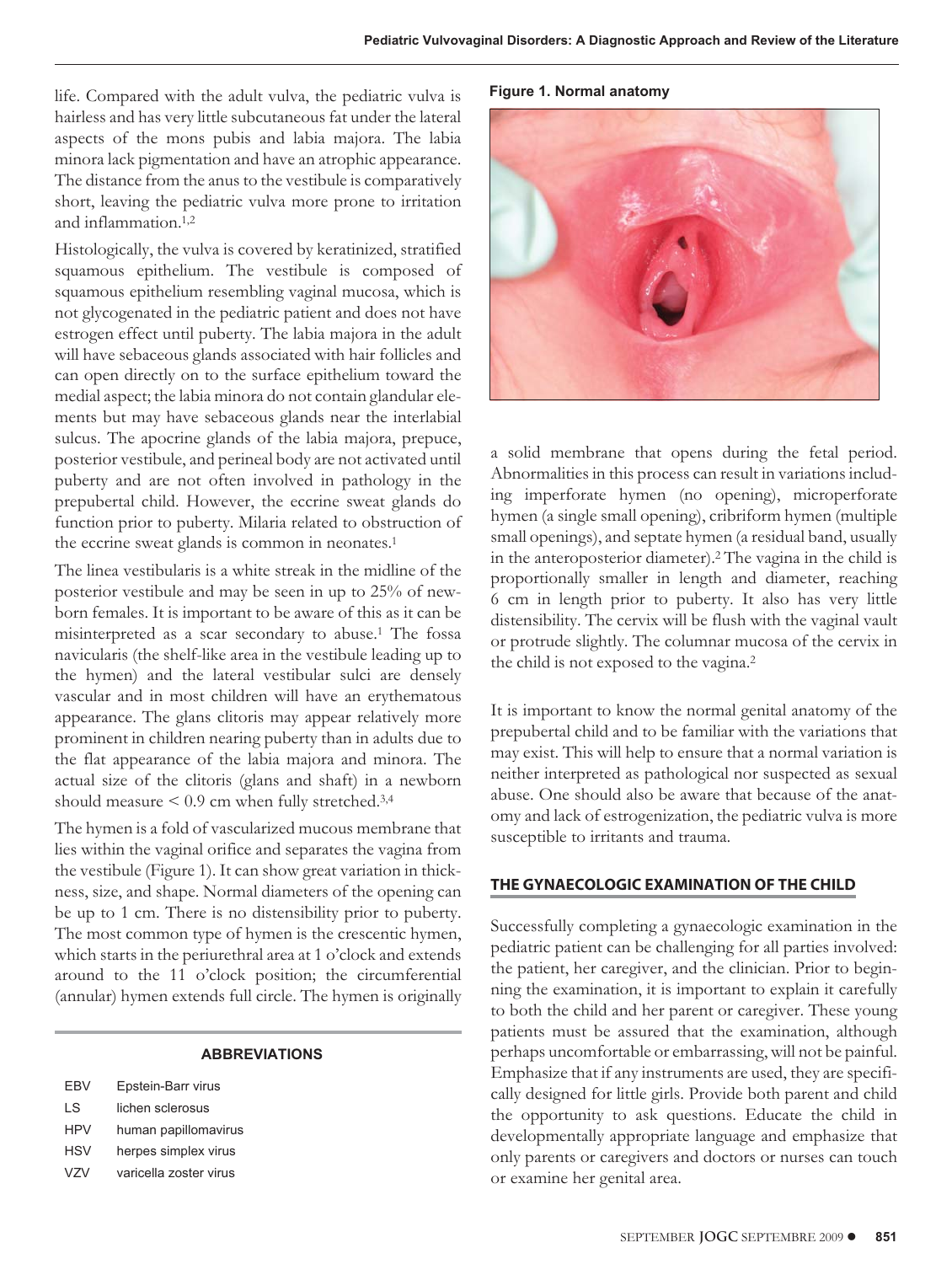life. Compared with the adult vulva, the pediatric vulva is hairless and has very little subcutaneous fat under the lateral aspects of the mons pubis and labia majora. The labia minora lack pigmentation and have an atrophic appearance. The distance from the anus to the vestibule is comparatively short, leaving the pediatric vulva more prone to irritation and inflammation.1,2

Histologically, the vulva is covered by keratinized, stratified squamous epithelium. The vestibule is composed of squamous epithelium resembling vaginal mucosa, which is not glycogenated in the pediatric patient and does not have estrogen effect until puberty. The labia majora in the adult will have sebaceous glands associated with hair follicles and can open directly on to the surface epithelium toward the medial aspect; the labia minora do not contain glandular elements but may have sebaceous glands near the interlabial sulcus. The apocrine glands of the labia majora, prepuce, posterior vestibule, and perineal body are not activated until puberty and are not often involved in pathology in the prepubertal child. However, the eccrine sweat glands do function prior to puberty. Milaria related to obstruction of the eccrine sweat glands is common in neonates.<sup>1</sup>

The linea vestibularis is a white streak in the midline of the posterior vestibule and may be seen in up to 25% of newborn females. It is important to be aware of this as it can be misinterpreted as a scar secondary to abuse.1 The fossa navicularis (the shelf-like area in the vestibule leading up to the hymen) and the lateral vestibular sulci are densely vascular and in most children will have an erythematous appearance. The glans clitoris may appear relatively more prominent in children nearing puberty than in adults due to the flat appearance of the labia majora and minora. The actual size of the clitoris (glans and shaft) in a newborn should measure  $\leq 0.9$  cm when fully stretched.<sup>3,4</sup>

The hymen is a fold of vascularized mucous membrane that lies within the vaginal orifice and separates the vagina from the vestibule (Figure 1). It can show great variation in thickness, size, and shape. Normal diameters of the opening can be up to 1 cm. There is no distensibility prior to puberty. The most common type of hymen is the crescentic hymen, which starts in the periurethral area at 1 o'clock and extends around to the 11 o'clock position; the circumferential (annular) hymen extends full circle. The hymen is originally

#### **ABBREVIATIONS**

| <b>EBV</b> | Epstein-Barr virus     |
|------------|------------------------|
| I S        | lichen sclerosus       |
| <b>HPV</b> | human papillomavirus   |
| <b>HSV</b> | herpes simplex virus   |
| VZV        | varicella zoster virus |

#### **Figure 1. Normal anatomy**



a solid membrane that opens during the fetal period. Abnormalities in this process can result in variations including imperforate hymen (no opening), microperforate hymen (a single small opening), cribriform hymen (multiple small openings), and septate hymen (a residual band, usually in the anteroposterior diameter).2 The vagina in the child is proportionally smaller in length and diameter, reaching 6 cm in length prior to puberty. It also has very little distensibility. The cervix will be flush with the vaginal vault or protrude slightly. The columnar mucosa of the cervix in the child is not exposed to the vagina.2

It is important to know the normal genital anatomy of the prepubertal child and to be familiar with the variations that may exist. This will help to ensure that a normal variation is neither interpreted as pathological nor suspected as sexual abuse. One should also be aware that because of the anatomy and lack of estrogenization, the pediatric vulva is more susceptible to irritants and trauma.

#### **THE GYNAECOLOGIC EXAMINATION OF THE CHILD**

Successfully completing a gynaecologic examination in the pediatric patient can be challenging for all parties involved: the patient, her caregiver, and the clinician. Prior to beginning the examination, it is important to explain it carefully to both the child and her parent or caregiver. These young patients must be assured that the examination, although perhaps uncomfortable or embarrassing, will not be painful. Emphasize that if any instruments are used, they are specifically designed for little girls. Provide both parent and child the opportunity to ask questions. Educate the child in developmentally appropriate language and emphasize that only parents or caregivers and doctors or nurses can touch or examine her genital area.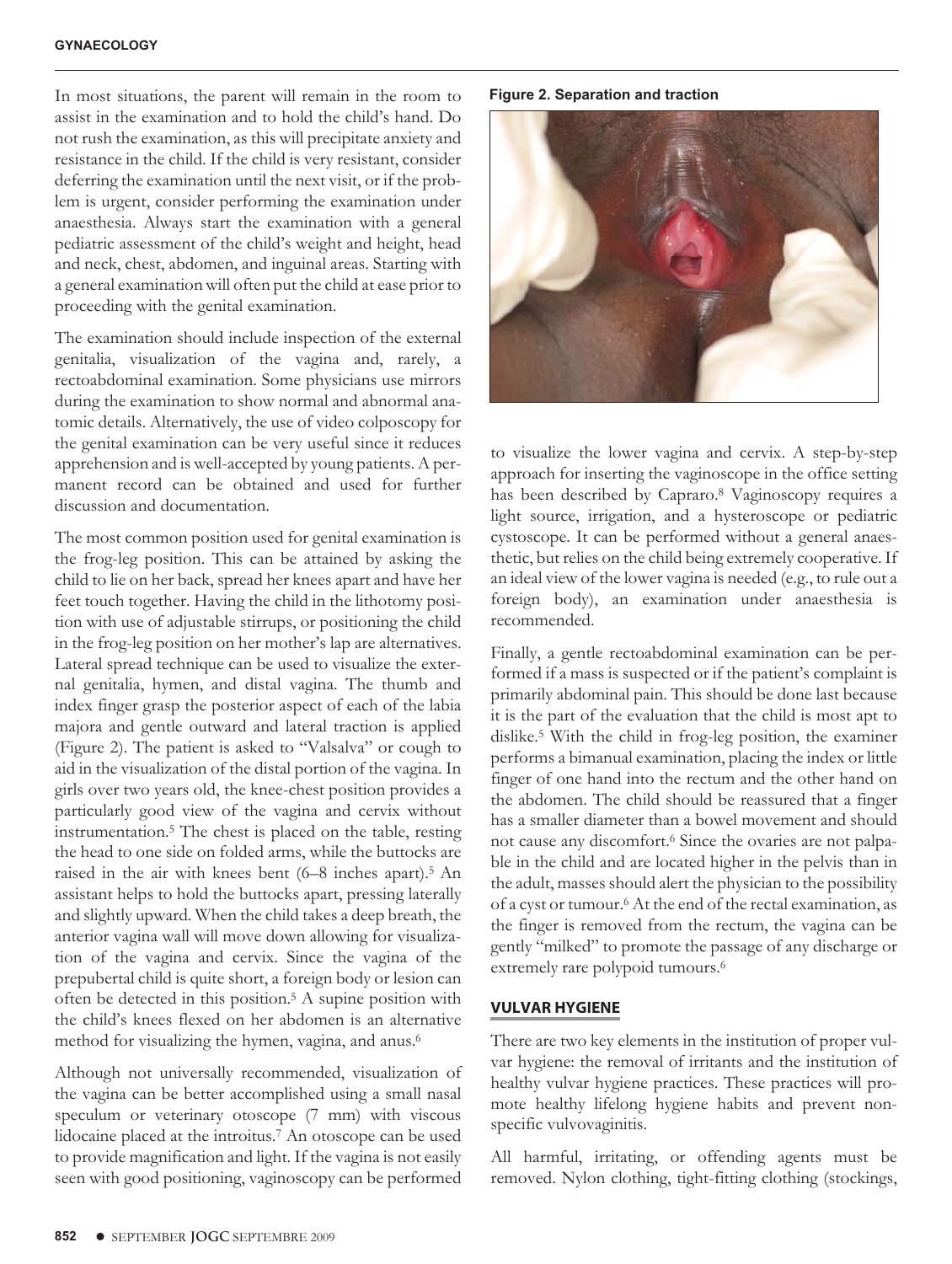In most situations, the parent will remain in the room to assist in the examination and to hold the child's hand. Do not rush the examination, as this will precipitate anxiety and resistance in the child. If the child is very resistant, consider deferring the examination until the next visit, or if the problem is urgent, consider performing the examination under anaesthesia. Always start the examination with a general pediatric assessment of the child's weight and height, head and neck, chest, abdomen, and inguinal areas. Starting with a general examination will often put the child at ease prior to proceeding with the genital examination.

The examination should include inspection of the external genitalia, visualization of the vagina and, rarely, a rectoabdominal examination. Some physicians use mirrors during the examination to show normal and abnormal anatomic details. Alternatively, the use of video colposcopy for the genital examination can be very useful since it reduces apprehension and is well-accepted by young patients. A permanent record can be obtained and used for further discussion and documentation.

The most common position used for genital examination is the frog-leg position. This can be attained by asking the child to lie on her back, spread her knees apart and have her feet touch together. Having the child in the lithotomy position with use of adjustable stirrups, or positioning the child in the frog-leg position on her mother's lap are alternatives. Lateral spread technique can be used to visualize the external genitalia, hymen, and distal vagina. The thumb and index finger grasp the posterior aspect of each of the labia majora and gentle outward and lateral traction is applied (Figure 2). The patient is asked to "Valsalva" or cough to aid in the visualization of the distal portion of the vagina. In girls over two years old, the knee-chest position provides a particularly good view of the vagina and cervix without instrumentation.5 The chest is placed on the table, resting the head to one side on folded arms, while the buttocks are raised in the air with knees bent (6–8 inches apart).<sup>5</sup> An assistant helps to hold the buttocks apart, pressing laterally and slightly upward. When the child takes a deep breath, the anterior vagina wall will move down allowing for visualization of the vagina and cervix. Since the vagina of the prepubertal child is quite short, a foreign body or lesion can often be detected in this position.5 A supine position with the child's knees flexed on her abdomen is an alternative method for visualizing the hymen, vagina, and anus.<sup>6</sup>

Although not universally recommended, visualization of the vagina can be better accomplished using a small nasal speculum or veterinary otoscope (7 mm) with viscous lidocaine placed at the introitus.7 An otoscope can be used to provide magnification and light. If the vagina is not easily seen with good positioning, vaginoscopy can be performed

**Figure 2. Separation and traction**



to visualize the lower vagina and cervix. A step-by-step approach for inserting the vaginoscope in the office setting has been described by Capraro.8 Vaginoscopy requires a light source, irrigation, and a hysteroscope or pediatric cystoscope. It can be performed without a general anaesthetic, but relies on the child being extremely cooperative. If an ideal view of the lower vagina is needed (e.g., to rule out a foreign body), an examination under anaesthesia is recommended.

Finally, a gentle rectoabdominal examination can be performed if a mass is suspected or if the patient's complaint is primarily abdominal pain. This should be done last because it is the part of the evaluation that the child is most apt to dislike.5 With the child in frog-leg position, the examiner performs a bimanual examination, placing the index or little finger of one hand into the rectum and the other hand on the abdomen. The child should be reassured that a finger has a smaller diameter than a bowel movement and should not cause any discomfort.6 Since the ovaries are not palpable in the child and are located higher in the pelvis than in the adult, masses should alert the physician to the possibility of a cyst or tumour.6 At the end of the rectal examination, as the finger is removed from the rectum, the vagina can be gently "milked" to promote the passage of any discharge or extremely rare polypoid tumours.<sup>6</sup>

# **VULVAR HYGIENE**

There are two key elements in the institution of proper vulvar hygiene: the removal of irritants and the institution of healthy vulvar hygiene practices. These practices will promote healthy lifelong hygiene habits and prevent nonspecific vulvovaginitis.

All harmful, irritating, or offending agents must be removed. Nylon clothing, tight-fitting clothing (stockings,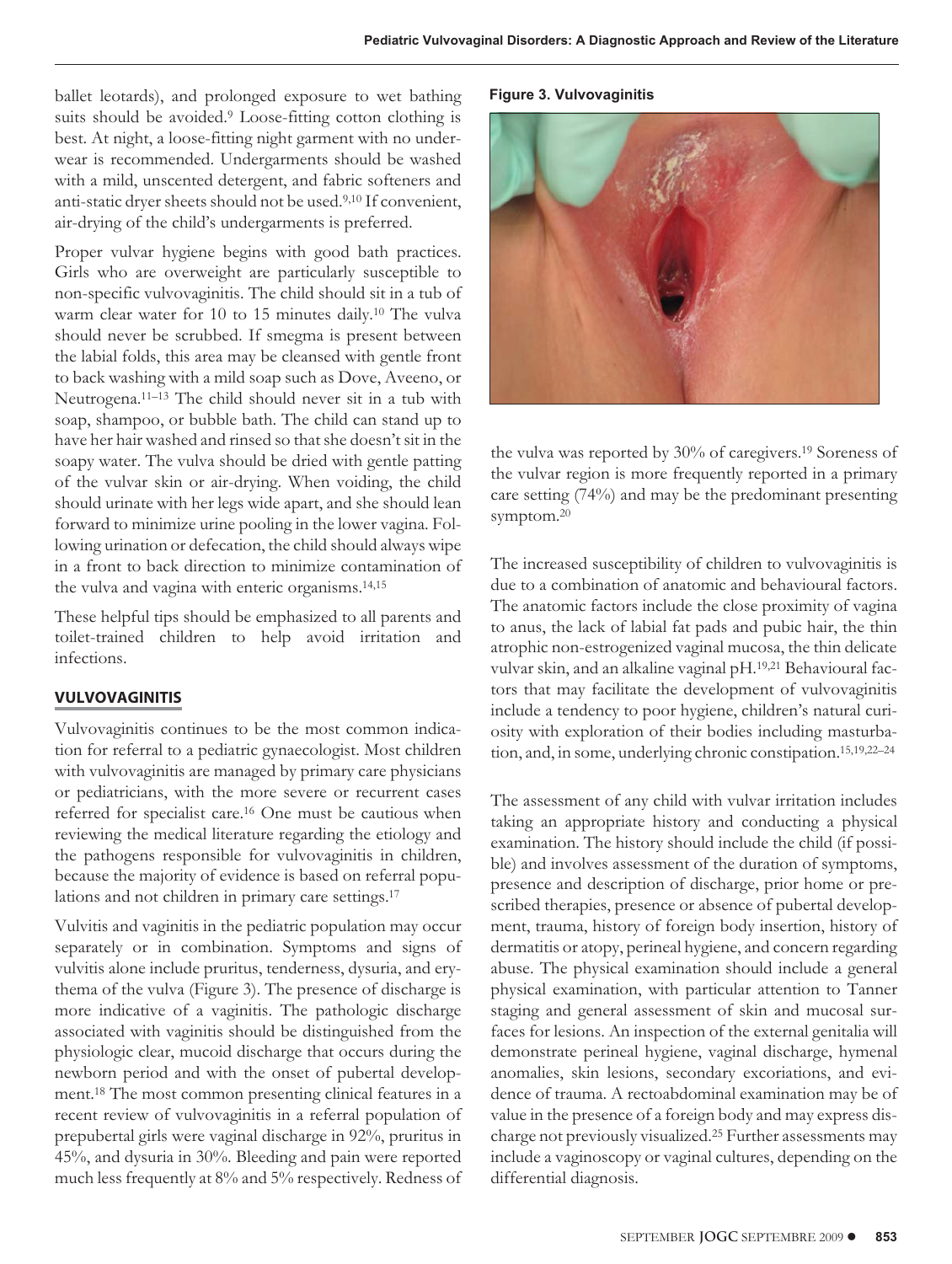ballet leotards), and prolonged exposure to wet bathing suits should be avoided.<sup>9</sup> Loose-fitting cotton clothing is best. At night, a loose-fitting night garment with no underwear is recommended. Undergarments should be washed with a mild, unscented detergent, and fabric softeners and anti-static dryer sheets should not be used.9,10 If convenient, air-drying of the child's undergarments is preferred.

Proper vulvar hygiene begins with good bath practices. Girls who are overweight are particularly susceptible to non-specific vulvovaginitis. The child should sit in a tub of warm clear water for 10 to 15 minutes daily.10 The vulva should never be scrubbed. If smegma is present between the labial folds, this area may be cleansed with gentle front to back washing with a mild soap such as Dove, Aveeno, or Neutrogena.11–13 The child should never sit in a tub with soap, shampoo, or bubble bath. The child can stand up to have her hair washed and rinsed so that she doesn't sit in the soapy water. The vulva should be dried with gentle patting of the vulvar skin or air-drying. When voiding, the child should urinate with her legs wide apart, and she should lean forward to minimize urine pooling in the lower vagina. Following urination or defecation, the child should always wipe in a front to back direction to minimize contamination of the vulva and vagina with enteric organisms.14,15

These helpful tips should be emphasized to all parents and toilet-trained children to help avoid irritation and infections.

# **VULVOVAGINITIS**

Vulvovaginitis continues to be the most common indication for referral to a pediatric gynaecologist. Most children with vulvovaginitis are managed by primary care physicians or pediatricians, with the more severe or recurrent cases referred for specialist care.16 One must be cautious when reviewing the medical literature regarding the etiology and the pathogens responsible for vulvovaginitis in children, because the majority of evidence is based on referral populations and not children in primary care settings.17

Vulvitis and vaginitis in the pediatric population may occur separately or in combination. Symptoms and signs of vulvitis alone include pruritus, tenderness, dysuria, and erythema of the vulva (Figure 3). The presence of discharge is more indicative of a vaginitis. The pathologic discharge associated with vaginitis should be distinguished from the physiologic clear, mucoid discharge that occurs during the newborn period and with the onset of pubertal development.18 The most common presenting clinical features in a recent review of vulvovaginitis in a referral population of prepubertal girls were vaginal discharge in 92%, pruritus in 45%, and dysuria in 30%. Bleeding and pain were reported much less frequently at 8% and 5% respectively. Redness of

#### **Figure 3. Vulvovaginitis**



the vulva was reported by 30% of caregivers.19 Soreness of the vulvar region is more frequently reported in a primary care setting (74%) and may be the predominant presenting symptom.20

The increased susceptibility of children to vulvovaginitis is due to a combination of anatomic and behavioural factors. The anatomic factors include the close proximity of vagina to anus, the lack of labial fat pads and pubic hair, the thin atrophic non-estrogenized vaginal mucosa, the thin delicate vulvar skin, and an alkaline vaginal pH.19,21 Behavioural factors that may facilitate the development of vulvovaginitis include a tendency to poor hygiene, children's natural curiosity with exploration of their bodies including masturbation, and, in some, underlying chronic constipation.15,19,22–24

The assessment of any child with vulvar irritation includes taking an appropriate history and conducting a physical examination. The history should include the child (if possible) and involves assessment of the duration of symptoms, presence and description of discharge, prior home or prescribed therapies, presence or absence of pubertal development, trauma, history of foreign body insertion, history of dermatitis or atopy, perineal hygiene, and concern regarding abuse. The physical examination should include a general physical examination, with particular attention to Tanner staging and general assessment of skin and mucosal surfaces for lesions. An inspection of the external genitalia will demonstrate perineal hygiene, vaginal discharge, hymenal anomalies, skin lesions, secondary excoriations, and evidence of trauma. A rectoabdominal examination may be of value in the presence of a foreign body and may express discharge not previously visualized.25 Further assessments may include a vaginoscopy or vaginal cultures, depending on the differential diagnosis.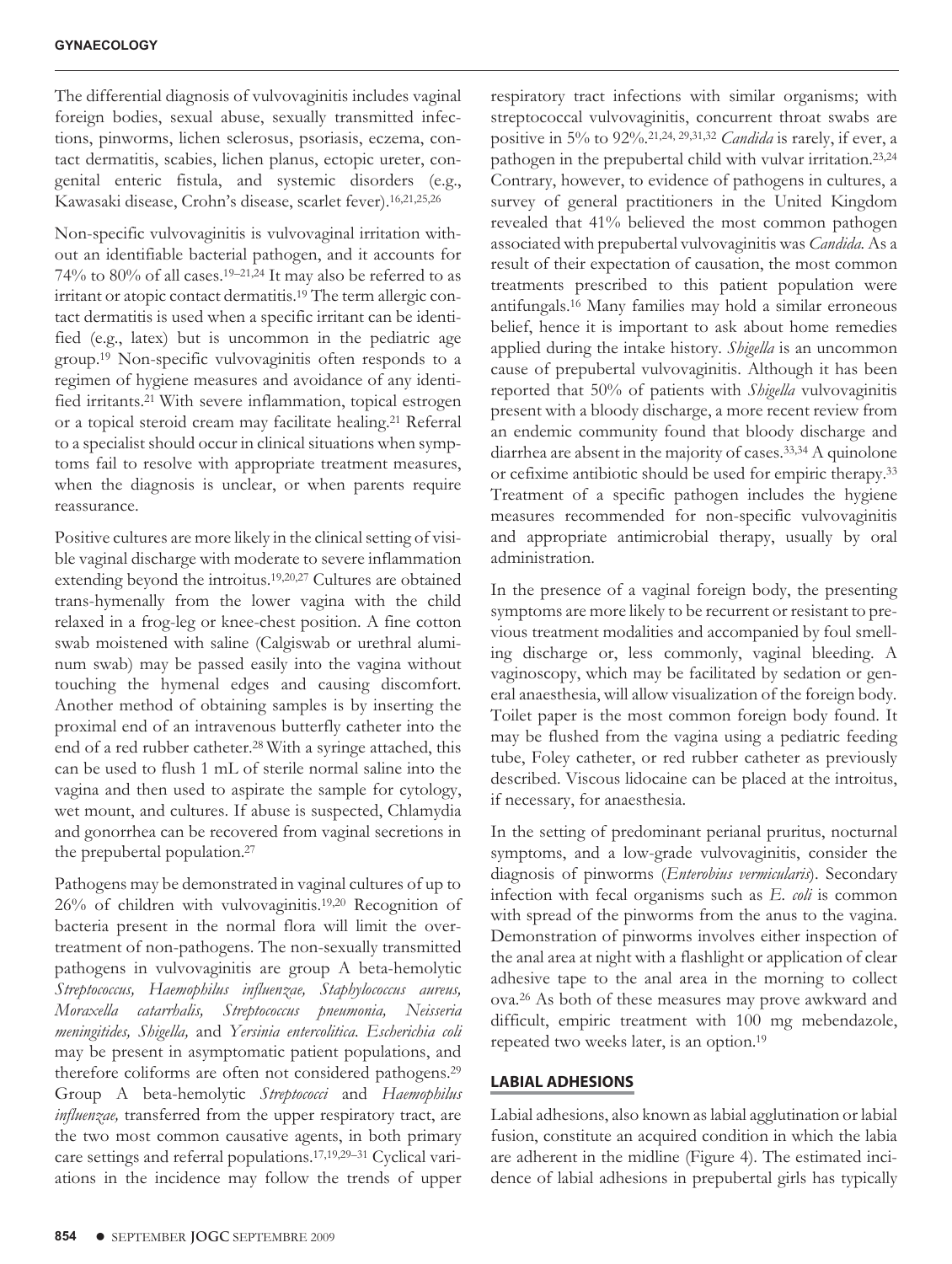The differential diagnosis of vulvovaginitis includes vaginal foreign bodies, sexual abuse, sexually transmitted infections, pinworms, lichen sclerosus, psoriasis, eczema, contact dermatitis, scabies, lichen planus, ectopic ureter, congenital enteric fistula, and systemic disorders (e.g., Kawasaki disease, Crohn's disease, scarlet fever).16,21,25,26

Non-specific vulvovaginitis is vulvovaginal irritation without an identifiable bacterial pathogen, and it accounts for 74% to 80% of all cases.19–21,24 It may also be referred to as irritant or atopic contact dermatitis.19 The term allergic contact dermatitis is used when a specific irritant can be identified (e.g., latex) but is uncommon in the pediatric age group.19 Non-specific vulvovaginitis often responds to a regimen of hygiene measures and avoidance of any identified irritants.21 With severe inflammation, topical estrogen or a topical steroid cream may facilitate healing.21 Referral to a specialist should occur in clinical situations when symptoms fail to resolve with appropriate treatment measures, when the diagnosis is unclear, or when parents require reassurance.

Positive cultures are more likely in the clinical setting of visible vaginal discharge with moderate to severe inflammation extending beyond the introitus.19,20,27 Cultures are obtained trans-hymenally from the lower vagina with the child relaxed in a frog-leg or knee-chest position. A fine cotton swab moistened with saline (Calgiswab or urethral aluminum swab) may be passed easily into the vagina without touching the hymenal edges and causing discomfort. Another method of obtaining samples is by inserting the proximal end of an intravenous butterfly catheter into the end of a red rubber catheter.28 With a syringe attached, this can be used to flush 1 mL of sterile normal saline into the vagina and then used to aspirate the sample for cytology, wet mount, and cultures. If abuse is suspected, Chlamydia and gonorrhea can be recovered from vaginal secretions in the prepubertal population.27

Pathogens may be demonstrated in vaginal cultures of up to 26% of children with vulvovaginitis.19,20 Recognition of bacteria present in the normal flora will limit the overtreatment of non-pathogens. The non-sexually transmitted pathogens in vulvovaginitis are group A beta-hemolytic *Streptococcus, Haemophilus influenzae, Staphylococcus aureus, Moraxella catarrhalis, Streptococcus pneumonia, Neisseria meningitides, Shigella,* and *Yersinia entercolitica. Escherichia coli* may be present in asymptomatic patient populations, and therefore coliforms are often not considered pathogens.29 Group A beta-hemolytic *Streptococci* and *Haemophilus influenzae,* transferred from the upper respiratory tract, are the two most common causative agents, in both primary care settings and referral populations.17,19,29–31 Cyclical variations in the incidence may follow the trends of upper

respiratory tract infections with similar organisms; with streptococcal vulvovaginitis, concurrent throat swabs are positive in 5% to 92%.21,24, 29,31,32 *Candida* is rarely, if ever, a pathogen in the prepubertal child with vulvar irritation.<sup>23,24</sup> Contrary, however, to evidence of pathogens in cultures, a survey of general practitioners in the United Kingdom revealed that 41% believed the most common pathogen associated with prepubertal vulvovaginitis was *Candida.* As a result of their expectation of causation, the most common treatments prescribed to this patient population were antifungals.16 Many families may hold a similar erroneous belief, hence it is important to ask about home remedies applied during the intake history. *Shigella* is an uncommon cause of prepubertal vulvovaginitis. Although it has been reported that 50% of patients with *Shigella* vulvovaginitis present with a bloody discharge, a more recent review from an endemic community found that bloody discharge and diarrhea are absent in the majority of cases.33,34 A quinolone or cefixime antibiotic should be used for empiric therapy.33 Treatment of a specific pathogen includes the hygiene measures recommended for non-specific vulvovaginitis and appropriate antimicrobial therapy, usually by oral administration.

In the presence of a vaginal foreign body, the presenting symptoms are more likely to be recurrent or resistant to previous treatment modalities and accompanied by foul smelling discharge or, less commonly, vaginal bleeding. A vaginoscopy, which may be facilitated by sedation or general anaesthesia, will allow visualization of the foreign body. Toilet paper is the most common foreign body found. It may be flushed from the vagina using a pediatric feeding tube, Foley catheter, or red rubber catheter as previously described. Viscous lidocaine can be placed at the introitus, if necessary, for anaesthesia.

In the setting of predominant perianal pruritus, nocturnal symptoms, and a low-grade vulvovaginitis, consider the diagnosis of pinworms (*Enterobius vermicularis*). Secondary infection with fecal organisms such as *E. coli* is common with spread of the pinworms from the anus to the vagina. Demonstration of pinworms involves either inspection of the anal area at night with a flashlight or application of clear adhesive tape to the anal area in the morning to collect ova.26 As both of these measures may prove awkward and difficult, empiric treatment with 100 mg mebendazole, repeated two weeks later, is an option.19

# **LABIAL ADHESIONS**

Labial adhesions, also known as labial agglutination or labial fusion, constitute an acquired condition in which the labia are adherent in the midline (Figure 4). The estimated incidence of labial adhesions in prepubertal girls has typically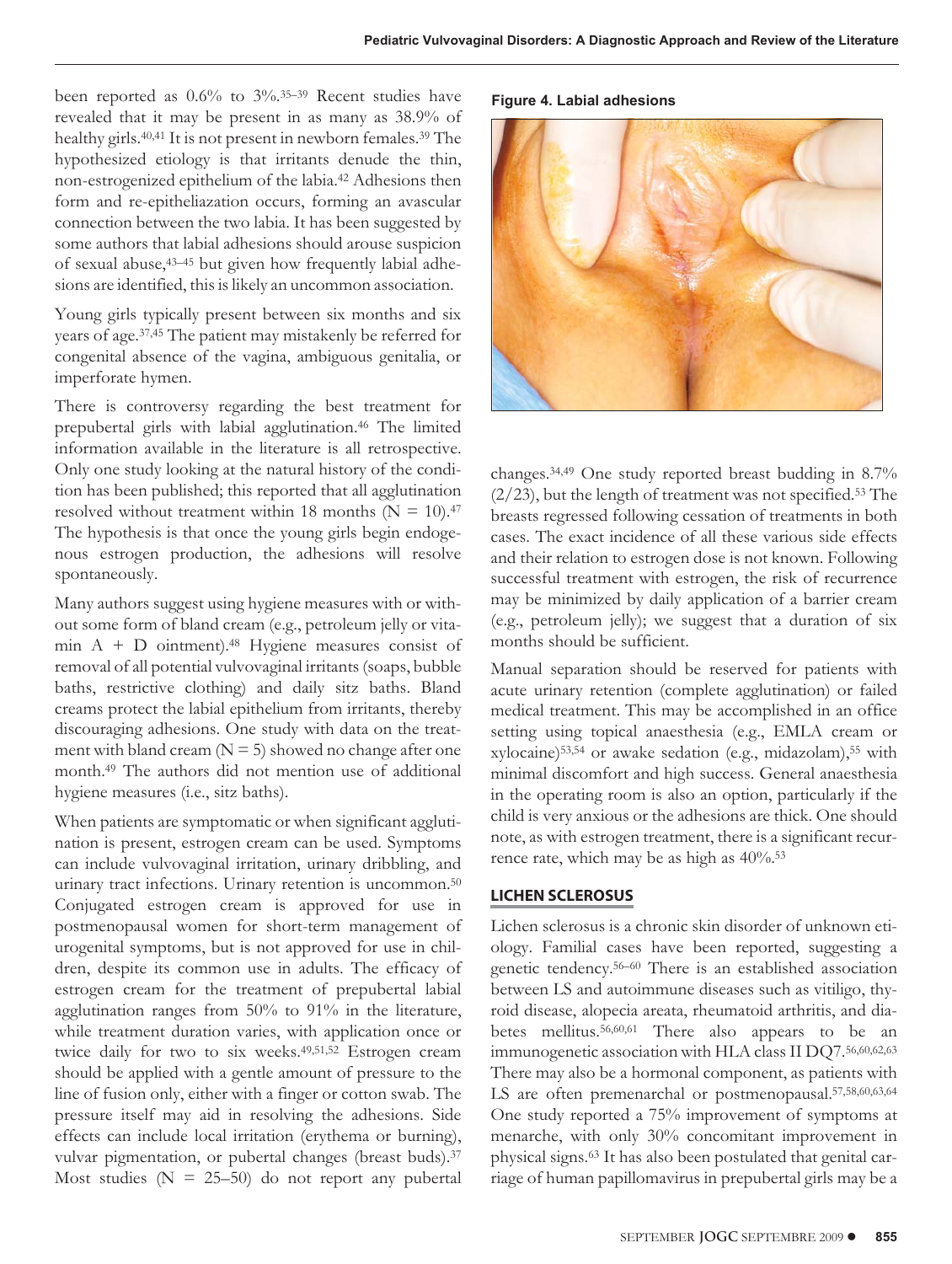been reported as 0.6% to 3%.35–39 Recent studies have revealed that it may be present in as many as 38.9% of healthy girls.40,41 It is not present in newborn females.39 The hypothesized etiology is that irritants denude the thin, non-estrogenized epithelium of the labia.42 Adhesions then form and re-epitheliazation occurs, forming an avascular connection between the two labia. It has been suggested by some authors that labial adhesions should arouse suspicion of sexual abuse,43–45 but given how frequently labial adhesions are identified, this is likely an uncommon association.

Young girls typically present between six months and six years of age.37,45 The patient may mistakenly be referred for congenital absence of the vagina, ambiguous genitalia, or imperforate hymen.

There is controversy regarding the best treatment for prepubertal girls with labial agglutination.46 The limited information available in the literature is all retrospective. Only one study looking at the natural history of the condition has been published; this reported that all agglutination resolved without treatment within 18 months ( $N = 10$ ).<sup>47</sup> The hypothesis is that once the young girls begin endogenous estrogen production, the adhesions will resolve spontaneously.

Many authors suggest using hygiene measures with or without some form of bland cream (e.g., petroleum jelly or vitamin  $A + D$  ointment).<sup>48</sup> Hygiene measures consist of removal of all potential vulvovaginal irritants (soaps, bubble baths, restrictive clothing) and daily sitz baths. Bland creams protect the labial epithelium from irritants, thereby discouraging adhesions. One study with data on the treatment with bland cream ( $N = 5$ ) showed no change after one month.49 The authors did not mention use of additional hygiene measures (i.e., sitz baths).

When patients are symptomatic or when significant agglutination is present, estrogen cream can be used. Symptoms can include vulvovaginal irritation, urinary dribbling, and urinary tract infections. Urinary retention is uncommon.<sup>50</sup> Conjugated estrogen cream is approved for use in postmenopausal women for short-term management of urogenital symptoms, but is not approved for use in children, despite its common use in adults. The efficacy of estrogen cream for the treatment of prepubertal labial agglutination ranges from 50% to 91% in the literature, while treatment duration varies, with application once or twice daily for two to six weeks.49,51,52 Estrogen cream should be applied with a gentle amount of pressure to the line of fusion only, either with a finger or cotton swab. The pressure itself may aid in resolving the adhesions. Side effects can include local irritation (erythema or burning), vulvar pigmentation, or pubertal changes (breast buds).<sup>37</sup> Most studies ( $N = 25-50$ ) do not report any pubertal

#### **Figure 4. Labial adhesions**



changes.34,49 One study reported breast budding in 8.7%  $(2/23)$ , but the length of treatment was not specified.<sup>53</sup> The breasts regressed following cessation of treatments in both cases. The exact incidence of all these various side effects and their relation to estrogen dose is not known. Following successful treatment with estrogen, the risk of recurrence may be minimized by daily application of a barrier cream (e.g., petroleum jelly); we suggest that a duration of six months should be sufficient.

Manual separation should be reserved for patients with acute urinary retention (complete agglutination) or failed medical treatment. This may be accomplished in an office setting using topical anaesthesia (e.g., EMLA cream or xylocaine)53,54 or awake sedation (e.g., midazolam),55 with minimal discomfort and high success. General anaesthesia in the operating room is also an option, particularly if the child is very anxious or the adhesions are thick. One should note, as with estrogen treatment, there is a significant recurrence rate, which may be as high as  $40\%$ .<sup>53</sup>

#### **LICHEN SCLEROSUS**

Lichen sclerosus is a chronic skin disorder of unknown etiology. Familial cases have been reported, suggesting a genetic tendency.56–60 There is an established association between LS and autoimmune diseases such as vitiligo, thyroid disease, alopecia areata, rheumatoid arthritis, and diabetes mellitus.56,60,61 There also appears to be an immunogenetic association with HLA class II DQ7.56,60,62,63 There may also be a hormonal component, as patients with LS are often premenarchal or postmenopausal.57,58,60,63,64 One study reported a 75% improvement of symptoms at menarche, with only 30% concomitant improvement in physical signs.63 It has also been postulated that genital carriage of human papillomavirus in prepubertal girls may be a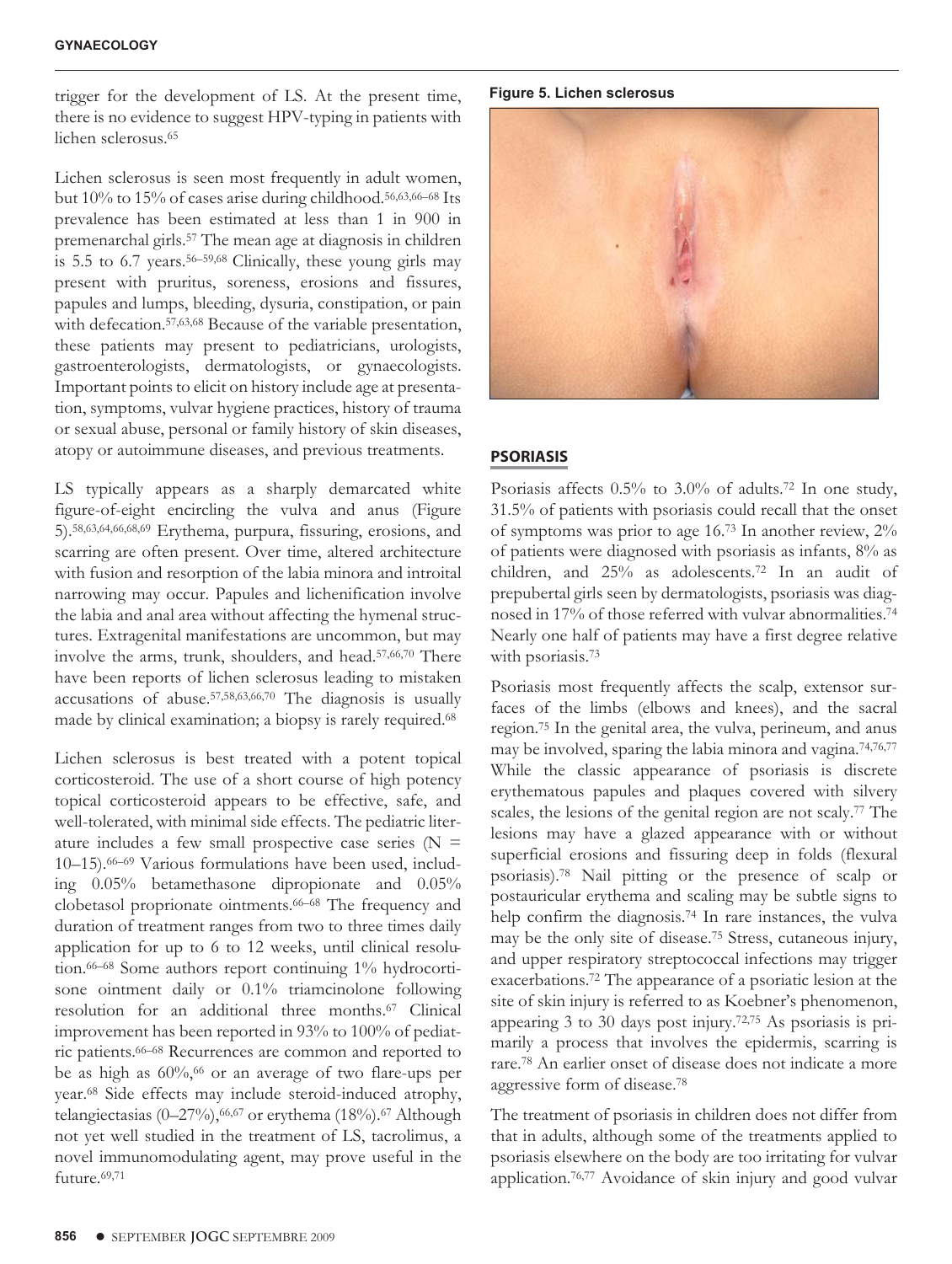trigger for the development of LS. At the present time, there is no evidence to suggest HPV-typing in patients with lichen sclerosus.65

Lichen sclerosus is seen most frequently in adult women, but 10% to 15% of cases arise during childhood.56,63,66–68 Its prevalence has been estimated at less than 1 in 900 in premenarchal girls.57 The mean age at diagnosis in children is 5.5 to 6.7 years.56–59,68 Clinically, these young girls may present with pruritus, soreness, erosions and fissures, papules and lumps, bleeding, dysuria, constipation, or pain with defecation.57,63,68 Because of the variable presentation, these patients may present to pediatricians, urologists, gastroenterologists, dermatologists, or gynaecologists. Important points to elicit on history include age at presentation, symptoms, vulvar hygiene practices, history of trauma or sexual abuse, personal or family history of skin diseases, atopy or autoimmune diseases, and previous treatments.

LS typically appears as a sharply demarcated white figure-of-eight encircling the vulva and anus (Figure 5).58,63,64,66,68,69 Erythema, purpura, fissuring, erosions, and scarring are often present. Over time, altered architecture with fusion and resorption of the labia minora and introital narrowing may occur. Papules and lichenification involve the labia and anal area without affecting the hymenal structures. Extragenital manifestations are uncommon, but may involve the arms, trunk, shoulders, and head.57,66,70 There have been reports of lichen sclerosus leading to mistaken accusations of abuse.57,58,63,66,70 The diagnosis is usually made by clinical examination; a biopsy is rarely required.68

Lichen sclerosus is best treated with a potent topical corticosteroid. The use of a short course of high potency topical corticosteroid appears to be effective, safe, and well-tolerated, with minimal side effects. The pediatric literature includes a few small prospective case series  $(N =$ 10–15).66–69 Various formulations have been used, including 0.05% betamethasone dipropionate and 0.05% clobetasol proprionate ointments.66–68 The frequency and duration of treatment ranges from two to three times daily application for up to 6 to 12 weeks, until clinical resolution.<sup>66–68</sup> Some authors report continuing 1% hydrocortisone ointment daily or 0.1% triamcinolone following resolution for an additional three months.67 Clinical improvement has been reported in 93% to 100% of pediatric patients.66–68 Recurrences are common and reported to be as high as  $60\%, 66$  or an average of two flare-ups per year.68 Side effects may include steroid-induced atrophy, telangiectasias (0-27%),<sup>66,67</sup> or erythema (18%).<sup>67</sup> Although not yet well studied in the treatment of LS, tacrolimus, a novel immunomodulating agent, may prove useful in the future.69,71

#### **Figure 5. Lichen sclerosus**



# **PSORIASIS**

Psoriasis affects  $0.5\%$  to  $3.0\%$  of adults.<sup>72</sup> In one study, 31.5% of patients with psoriasis could recall that the onset of symptoms was prior to age 16.73 In another review, 2% of patients were diagnosed with psoriasis as infants, 8% as children, and 25% as adolescents.72 In an audit of prepubertal girls seen by dermatologists, psoriasis was diagnosed in 17% of those referred with vulvar abnormalities.74 Nearly one half of patients may have a first degree relative with psoriasis.73

Psoriasis most frequently affects the scalp, extensor surfaces of the limbs (elbows and knees), and the sacral region.75 In the genital area, the vulva, perineum, and anus may be involved, sparing the labia minora and vagina.<sup>74,76,77</sup> While the classic appearance of psoriasis is discrete erythematous papules and plaques covered with silvery scales, the lesions of the genital region are not scaly.77 The lesions may have a glazed appearance with or without superficial erosions and fissuring deep in folds (flexural psoriasis).78 Nail pitting or the presence of scalp or postauricular erythema and scaling may be subtle signs to help confirm the diagnosis.74 In rare instances, the vulva may be the only site of disease.75 Stress, cutaneous injury, and upper respiratory streptococcal infections may trigger exacerbations.72 The appearance of a psoriatic lesion at the site of skin injury is referred to as Koebner's phenomenon, appearing 3 to 30 days post injury.72,75 As psoriasis is primarily a process that involves the epidermis, scarring is rare.78 An earlier onset of disease does not indicate a more aggressive form of disease.78

The treatment of psoriasis in children does not differ from that in adults, although some of the treatments applied to psoriasis elsewhere on the body are too irritating for vulvar application.76,77 Avoidance of skin injury and good vulvar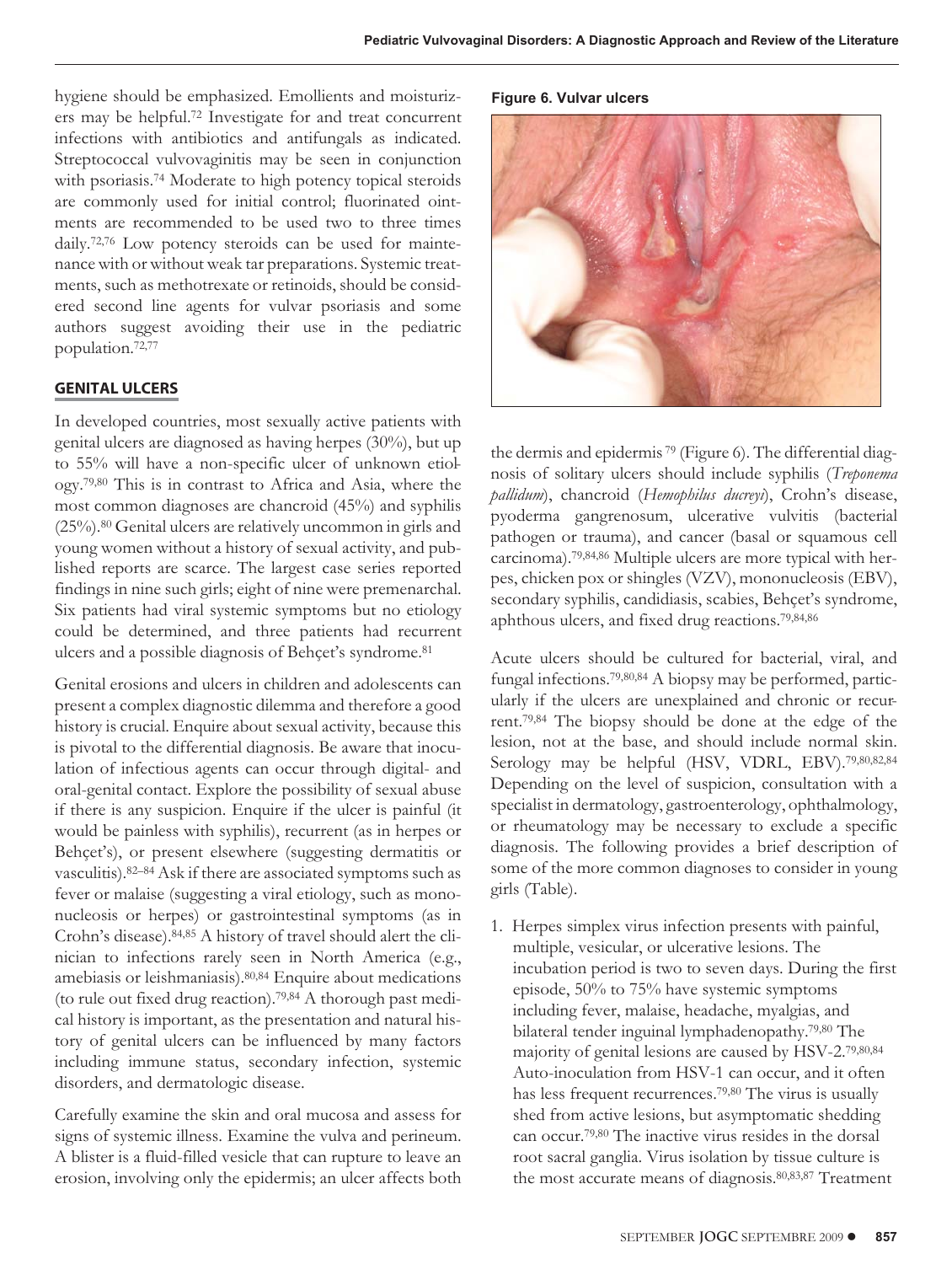hygiene should be emphasized. Emollients and moisturizers may be helpful.72 Investigate for and treat concurrent infections with antibiotics and antifungals as indicated. Streptococcal vulvovaginitis may be seen in conjunction with psoriasis.74 Moderate to high potency topical steroids are commonly used for initial control; fluorinated ointments are recommended to be used two to three times daily.72,76 Low potency steroids can be used for maintenance with or without weak tar preparations. Systemic treatments, such as methotrexate or retinoids, should be considered second line agents for vulvar psoriasis and some authors suggest avoiding their use in the pediatric population.72,77

# **GENITAL ULCERS**

In developed countries, most sexually active patients with genital ulcers are diagnosed as having herpes (30%), but up to 55% will have a non-specific ulcer of unknown etiology.79,80 This is in contrast to Africa and Asia, where the most common diagnoses are chancroid (45%) and syphilis (25%).80 Genital ulcers are relatively uncommon in girls and young women without a history of sexual activity, and published reports are scarce. The largest case series reported findings in nine such girls; eight of nine were premenarchal. Six patients had viral systemic symptoms but no etiology could be determined, and three patients had recurrent ulcers and a possible diagnosis of Behçet's syndrome.81

Genital erosions and ulcers in children and adolescents can present a complex diagnostic dilemma and therefore a good history is crucial. Enquire about sexual activity, because this is pivotal to the differential diagnosis. Be aware that inoculation of infectious agents can occur through digital- and oral-genital contact. Explore the possibility of sexual abuse if there is any suspicion. Enquire if the ulcer is painful (it would be painless with syphilis), recurrent (as in herpes or Behçet's), or present elsewhere (suggesting dermatitis or vasculitis).82–84 Ask if there are associated symptoms such as fever or malaise (suggesting a viral etiology, such as mononucleosis or herpes) or gastrointestinal symptoms (as in Crohn's disease).84,85 A history of travel should alert the clinician to infections rarely seen in North America (e.g., amebiasis or leishmaniasis).80,84 Enquire about medications (to rule out fixed drug reaction).79,84 A thorough past medical history is important, as the presentation and natural history of genital ulcers can be influenced by many factors including immune status, secondary infection, systemic disorders, and dermatologic disease.

Carefully examine the skin and oral mucosa and assess for signs of systemic illness. Examine the vulva and perineum. A blister is a fluid-filled vesicle that can rupture to leave an erosion, involving only the epidermis; an ulcer affects both

#### **Figure 6. Vulvar ulcers**



the dermis and epidermis<sup>79</sup> (Figure 6). The differential diagnosis of solitary ulcers should include syphilis (*Treponema pallidum*), chancroid (*Hemophilus ducreyi*), Crohn's disease, pyoderma gangrenosum, ulcerative vulvitis (bacterial pathogen or trauma), and cancer (basal or squamous cell carcinoma).79,84,86 Multiple ulcers are more typical with herpes, chicken pox or shingles (VZV), mononucleosis (EBV), secondary syphilis, candidiasis, scabies, Behçet's syndrome, aphthous ulcers, and fixed drug reactions.79,84,86

Acute ulcers should be cultured for bacterial, viral, and fungal infections.79,80,84 A biopsy may be performed, particularly if the ulcers are unexplained and chronic or recurrent.79,84 The biopsy should be done at the edge of the lesion, not at the base, and should include normal skin. Serology may be helpful (HSV, VDRL, EBV).<sup>79,80,82,84</sup> Depending on the level of suspicion, consultation with a specialist in dermatology, gastroenterology, ophthalmology, or rheumatology may be necessary to exclude a specific diagnosis. The following provides a brief description of some of the more common diagnoses to consider in young girls (Table).

1. Herpes simplex virus infection presents with painful, multiple, vesicular, or ulcerative lesions. The incubation period is two to seven days. During the first episode, 50% to 75% have systemic symptoms including fever, malaise, headache, myalgias, and bilateral tender inguinal lymphadenopathy.79,80 The majority of genital lesions are caused by HSV-2.79,80,84 Auto-inoculation from HSV-1 can occur, and it often has less frequent recurrences.79,80 The virus is usually shed from active lesions, but asymptomatic shedding can occur.79,80 The inactive virus resides in the dorsal root sacral ganglia. Virus isolation by tissue culture is the most accurate means of diagnosis.80,83,87 Treatment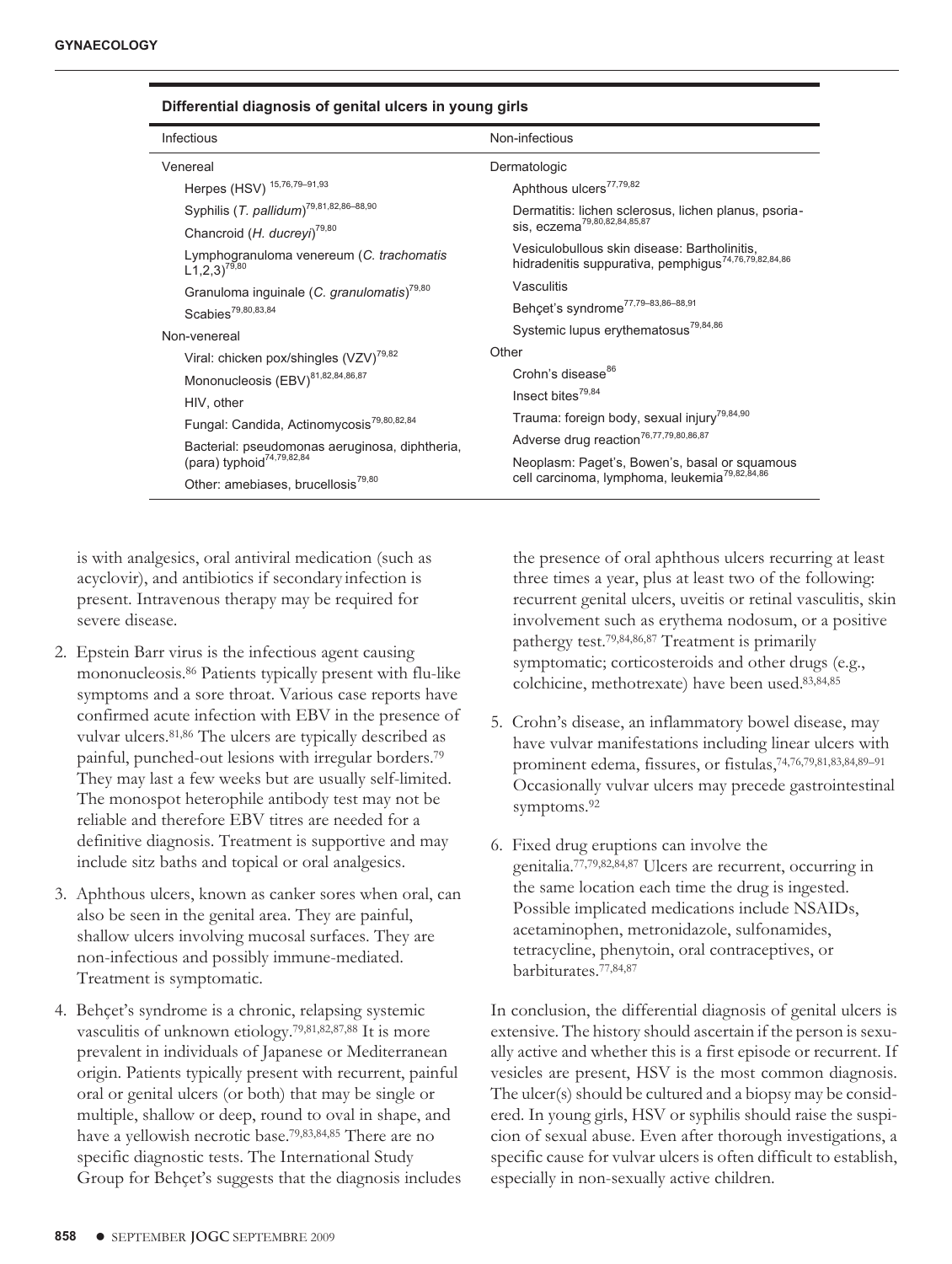| <b>Infectious</b>                                                                 | Non-infectious                                                                                                   |
|-----------------------------------------------------------------------------------|------------------------------------------------------------------------------------------------------------------|
| Venereal                                                                          | Dermatologic                                                                                                     |
| Herpes (HSV) 15,76,79-91,93                                                       | Aphthous ulcers <sup>77,79,82</sup>                                                                              |
| Syphilis (T. pallidum) <sup>79,81,82,86-88,90</sup>                               | Dermatitis: lichen sclerosus, lichen planus, psoria-                                                             |
| Chancroid (H. ducreyi) <sup>79,80</sup>                                           | sis, eczema <sup>79,80,82,84,85,87</sup>                                                                         |
| Lymphogranuloma venereum (C. trachomatis<br>L <sub>1</sub> ,2,3) <sup>79,80</sup> | Vesiculobullous skin disease: Bartholinitis,<br>hidradenitis suppurativa, pemphigus <sup>74,76,79,82,84,86</sup> |
| Granuloma inguinale (C. granulomatis) <sup>79,80</sup>                            | <b>Vasculitis</b>                                                                                                |
| Scabies <sup>79,80,83,84</sup>                                                    | Behçet's syndrome <sup>77,79-83,86-88,91</sup>                                                                   |
| Non-venereal                                                                      | Systemic lupus erythematosus <sup>79,84,86</sup>                                                                 |
| Viral: chicken pox/shingles (VZV) <sup>79,82</sup>                                | Other                                                                                                            |
| Mononucleosis (EBV) <sup>81,82,84,86,87</sup>                                     | Crohn's disease <sup>86</sup>                                                                                    |
| HIV, other                                                                        | Insect bites <sup>79,84</sup>                                                                                    |
| Fungal: Candida, Actinomycosis <sup>79,80,82,84</sup>                             | Trauma: foreign body, sexual injury <sup>79,84,90</sup>                                                          |
| Bacterial: pseudomonas aeruginosa, diphtheria,                                    | Adverse drug reaction <sup>76,77,79,80,86,87</sup>                                                               |
| (para) typhoid <sup>74,79,82,84</sup>                                             | Neoplasm: Paget's, Bowen's, basal or squamous<br>cell carcinoma, lymphoma, leukemia <sup>79,82,84,86</sup>       |
| Other: amebiases, brucellosis <sup>79,80</sup>                                    |                                                                                                                  |

#### **Differential diagnosis of genital ulcers in young girls**

is with analgesics, oral antiviral medication (such as acyclovir), and antibiotics if secondary infection is present. Intravenous therapy may be required for severe disease.

- 2. Epstein Barr virus is the infectious agent causing mononucleosis.86 Patients typically present with flu-like symptoms and a sore throat. Various case reports have confirmed acute infection with EBV in the presence of vulvar ulcers.81,86 The ulcers are typically described as painful, punched-out lesions with irregular borders.79 They may last a few weeks but are usually self-limited. The monospot heterophile antibody test may not be reliable and therefore EBV titres are needed for a definitive diagnosis. Treatment is supportive and may include sitz baths and topical or oral analgesics.
- 3. Aphthous ulcers, known as canker sores when oral, can also be seen in the genital area. They are painful, shallow ulcers involving mucosal surfaces. They are non-infectious and possibly immune-mediated. Treatment is symptomatic.
- 4. Behçet's syndrome is a chronic, relapsing systemic vasculitis of unknown etiology.79,81,82,87,88 It is more prevalent in individuals of Japanese or Mediterranean origin. Patients typically present with recurrent, painful oral or genital ulcers (or both) that may be single or multiple, shallow or deep, round to oval in shape, and have a yellowish necrotic base.79,83,84,85 There are no specific diagnostic tests. The International Study Group for Behçet's suggests that the diagnosis includes

the presence of oral aphthous ulcers recurring at least three times a year, plus at least two of the following: recurrent genital ulcers, uveitis or retinal vasculitis, skin involvement such as erythema nodosum, or a positive pathergy test.79,84,86,87 Treatment is primarily symptomatic; corticosteroids and other drugs (e.g., colchicine, methotrexate) have been used.83,84,85

- 5. Crohn's disease, an inflammatory bowel disease, may have vulvar manifestations including linear ulcers with prominent edema, fissures, or fistulas,74,76,79,81,83,84,89–91 Occasionally vulvar ulcers may precede gastrointestinal symptoms.92
- 6. Fixed drug eruptions can involve the genitalia.77,79,82,84,87 Ulcers are recurrent, occurring in the same location each time the drug is ingested. Possible implicated medications include NSAIDs, acetaminophen, metronidazole, sulfonamides, tetracycline, phenytoin, oral contraceptives, or barbiturates.77,84,87

In conclusion, the differential diagnosis of genital ulcers is extensive. The history should ascertain if the person is sexually active and whether this is a first episode or recurrent. If vesicles are present, HSV is the most common diagnosis. The ulcer(s) should be cultured and a biopsy may be considered. In young girls, HSV or syphilis should raise the suspicion of sexual abuse. Even after thorough investigations, a specific cause for vulvar ulcers is often difficult to establish, especially in non-sexually active children.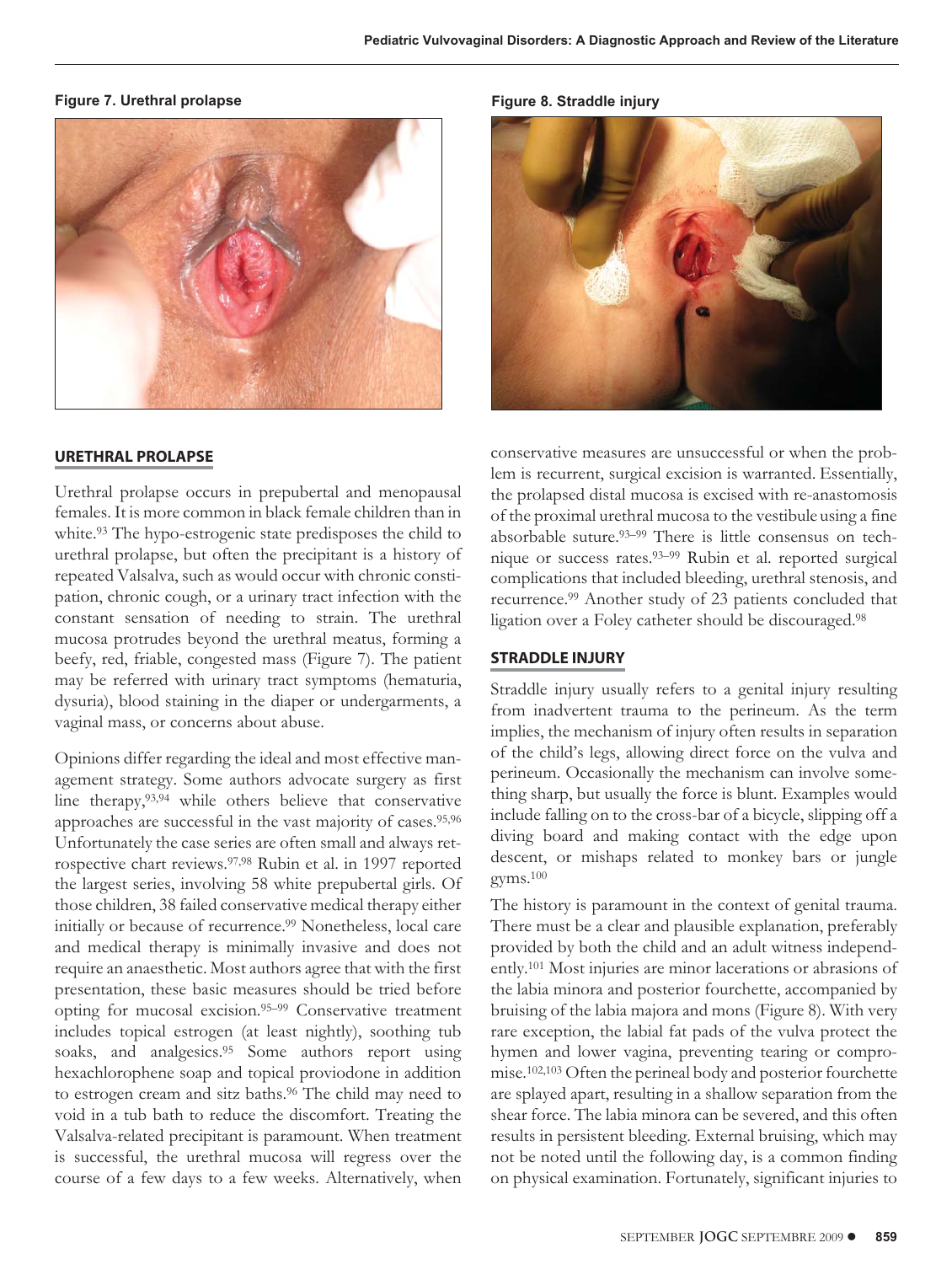### **Figure 7. Urethral prolapse Figure 8. Straddle injury**





### **URETHRAL PROLAPSE**

Urethral prolapse occurs in prepubertal and menopausal females. It is more common in black female children than in white.<sup>93</sup> The hypo-estrogenic state predisposes the child to urethral prolapse, but often the precipitant is a history of repeated Valsalva, such as would occur with chronic constipation, chronic cough, or a urinary tract infection with the constant sensation of needing to strain. The urethral mucosa protrudes beyond the urethral meatus, forming a beefy, red, friable, congested mass (Figure 7). The patient may be referred with urinary tract symptoms (hematuria, dysuria), blood staining in the diaper or undergarments, a vaginal mass, or concerns about abuse.

Opinions differ regarding the ideal and most effective management strategy. Some authors advocate surgery as first line therapy,93,94 while others believe that conservative approaches are successful in the vast majority of cases.95,96 Unfortunately the case series are often small and always retrospective chart reviews.97,98 Rubin et al. in 1997 reported the largest series, involving 58 white prepubertal girls. Of those children, 38 failed conservative medical therapy either initially or because of recurrence.99 Nonetheless, local care and medical therapy is minimally invasive and does not require an anaesthetic. Most authors agree that with the first presentation, these basic measures should be tried before opting for mucosal excision.95–99 Conservative treatment includes topical estrogen (at least nightly), soothing tub soaks, and analgesics.<sup>95</sup> Some authors report using hexachlorophene soap and topical proviodone in addition to estrogen cream and sitz baths.96 The child may need to void in a tub bath to reduce the discomfort. Treating the Valsalva-related precipitant is paramount. When treatment is successful, the urethral mucosa will regress over the course of a few days to a few weeks. Alternatively, when

conservative measures are unsuccessful or when the problem is recurrent, surgical excision is warranted. Essentially, the prolapsed distal mucosa is excised with re-anastomosis of the proximal urethral mucosa to the vestibule using a fine absorbable suture.93–99 There is little consensus on technique or success rates.93–99 Rubin et al. reported surgical complications that included bleeding, urethral stenosis, and recurrence.99 Another study of 23 patients concluded that ligation over a Foley catheter should be discouraged.98

#### **STRADDLE INJURY**

Straddle injury usually refers to a genital injury resulting from inadvertent trauma to the perineum. As the term implies, the mechanism of injury often results in separation of the child's legs, allowing direct force on the vulva and perineum. Occasionally the mechanism can involve something sharp, but usually the force is blunt. Examples would include falling on to the cross-bar of a bicycle, slipping off a diving board and making contact with the edge upon descent, or mishaps related to monkey bars or jungle gyms.100

The history is paramount in the context of genital trauma. There must be a clear and plausible explanation, preferably provided by both the child and an adult witness independently.101 Most injuries are minor lacerations or abrasions of the labia minora and posterior fourchette, accompanied by bruising of the labia majora and mons (Figure 8). With very rare exception, the labial fat pads of the vulva protect the hymen and lower vagina, preventing tearing or compromise.102,103 Often the perineal body and posterior fourchette are splayed apart, resulting in a shallow separation from the shear force. The labia minora can be severed, and this often results in persistent bleeding. External bruising, which may not be noted until the following day, is a common finding on physical examination. Fortunately, significant injuries to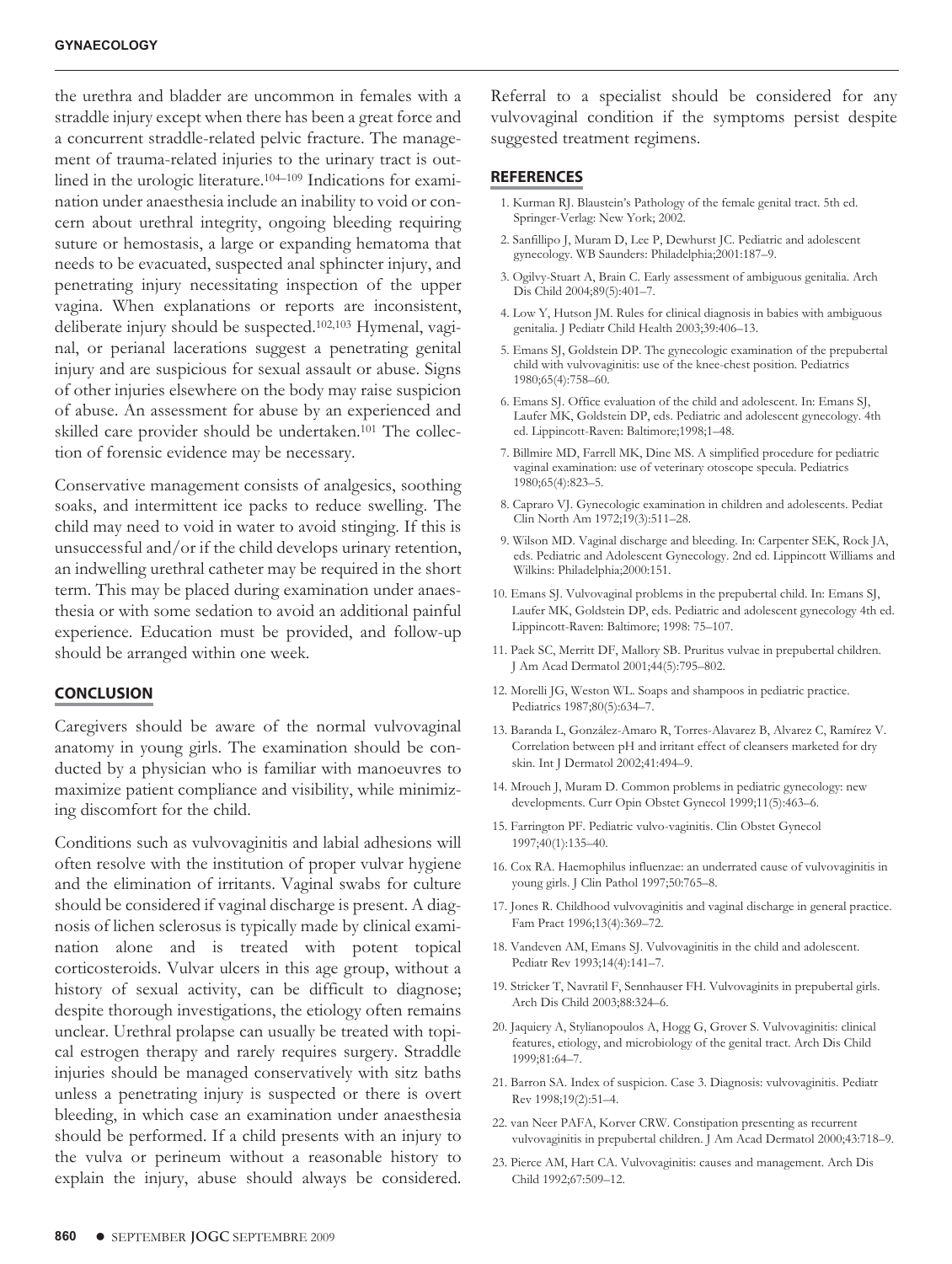the urethra and bladder are uncommon in females with a straddle injury except when there has been a great force and a concurrent straddle-related pelvic fracture. The management of trauma-related injuries to the urinary tract is outlined in the urologic literature.104–109 Indications for examination under anaesthesia include an inability to void or concern about urethral integrity, ongoing bleeding requiring suture or hemostasis, a large or expanding hematoma that needs to be evacuated, suspected anal sphincter injury, and penetrating injury necessitating inspection of the upper vagina. When explanations or reports are inconsistent, deliberate injury should be suspected.102,103 Hymenal, vaginal, or perianal lacerations suggest a penetrating genital injury and are suspicious for sexual assault or abuse. Signs of other injuries elsewhere on the body may raise suspicion of abuse. An assessment for abuse by an experienced and skilled care provider should be undertaken.<sup>101</sup> The collection of forensic evidence may be necessary.

Conservative management consists of analgesics, soothing soaks, and intermittent ice packs to reduce swelling. The child may need to void in water to avoid stinging. If this is unsuccessful and/or if the child develops urinary retention, an indwelling urethral catheter may be required in the short term. This may be placed during examination under anaesthesia or with some sedation to avoid an additional painful experience. Education must be provided, and follow-up should be arranged within one week.

#### **CONCLUSION**

Caregivers should be aware of the normal vulvovaginal anatomy in young girls. The examination should be conducted by a physician who is familiar with manoeuvres to maximize patient compliance and visibility, while minimizing discomfort for the child.

Conditions such as vulvovaginitis and labial adhesions will often resolve with the institution of proper vulvar hygiene and the elimination of irritants. Vaginal swabs for culture should be considered if vaginal discharge is present. A diagnosis of lichen sclerosus is typically made by clinical examination alone and is treated with potent topical corticosteroids. Vulvar ulcers in this age group, without a history of sexual activity, can be difficult to diagnose; despite thorough investigations, the etiology often remains unclear. Urethral prolapse can usually be treated with topical estrogen therapy and rarely requires surgery. Straddle injuries should be managed conservatively with sitz baths unless a penetrating injury is suspected or there is overt bleeding, in which case an examination under anaesthesia should be performed. If a child presents with an injury to the vulva or perineum without a reasonable history to explain the injury, abuse should always be considered. Referral to a specialist should be considered for any vulvovaginal condition if the symptoms persist despite suggested treatment regimens.

#### **REFERENCES**

- 1. Kurman RJ. Blaustein's Pathology of the female genital tract. 5th ed. Springer-Verlag: New York; 2002.
- 2. Sanfillipo J, Muram D, Lee P, Dewhurst JC. Pediatric and adolescent gynecology. WB Saunders: Philadelphia;2001:187–9.
- 3. Ogilvy-Stuart A, Brain C. Early assessment of ambiguous genitalia. Arch Dis Child 2004;89(5):401–7.
- 4. Low Y, Hutson JM. Rules for clinical diagnosis in babies with ambiguous genitalia. J Pediatr Child Health 2003;39:406–13.
- 5. Emans SJ, Goldstein DP. The gynecologic examination of the prepubertal child with vulvovaginitis: use of the knee-chest position. Pediatrics 1980;65(4):758–60.
- 6. Emans SJ. Office evaluation of the child and adolescent. In: Emans SJ, Laufer MK, Goldstein DP, eds. Pediatric and adolescent gynecology. 4th ed. Lippincott-Raven: Baltimore;1998;1–48.
- 7. Billmire MD, Farrell MK, Dine MS. A simplified procedure for pediatric vaginal examination: use of veterinary otoscope specula. Pediatrics 1980;65(4):823–5.
- 8. Capraro VJ. Gynecologic examination in children and adolescents. Pediat Clin North Am 1972;19(3):511–28.
- 9. Wilson MD. Vaginal discharge and bleeding. In: Carpenter SEK, Rock JA, eds. Pediatric and Adolescent Gynecology. 2nd ed. Lippincott Williams and Wilkins: Philadelphia;2000:151.
- 10. Emans SJ. Vulvovaginal problems in the prepubertal child. In: Emans SJ, Laufer MK, Goldstein DP, eds. Pediatric and adolescent gynecology 4th ed. Lippincott-Raven: Baltimore; 1998: 75–107.
- 11. Paek SC, Merritt DF, Mallory SB. Pruritus vulvae in prepubertal children. J Am Acad Dermatol 2001;44(5):795–802.
- 12. Morelli JG, Weston WL. Soaps and shampoos in pediatric practice. Pediatrics 1987;80(5):634–7.
- 13. Baranda L, González-Amaro R, Torres-Alavarez B, Alvarez C, Ramírez V. Correlation between pH and irritant effect of cleansers marketed for dry skin. Int J Dermatol 2002;41:494–9.
- 14. Mroueh J, Muram D. Common problems in pediatric gynecology: new developments. Curr Opin Obstet Gynecol 1999;11(5):463–6.
- 15. Farrington PF. Pediatric vulvo-vaginitis. Clin Obstet Gynecol 1997;40(1):135–40.
- 16. Cox RA. Haemophilus influenzae: an underrated cause of vulvovaginitis in young girls. J Clin Pathol 1997;50:765–8.
- 17. Jones R. Childhood vulvovaginitis and vaginal discharge in general practice. Fam Pract 1996;13(4):369–72.
- 18. Vandeven AM, Emans SJ. Vulvovaginitis in the child and adolescent. Pediatr Rev 1993;14(4):141–7.
- 19. Stricker T, Navratil F, Sennhauser FH. Vulvovaginits in prepubertal girls. Arch Dis Child 2003;88:324–6.
- 20. Jaquiery A, Stylianopoulos A, Hogg G, Grover S. Vulvovaginitis: clinical features, etiology, and microbiology of the genital tract. Arch Dis Child 1999;81:64–7.
- 21. Barron SA. Index of suspicion. Case 3. Diagnosis: vulvovaginitis. Pediatr Rev 1998;19(2):51–4.
- 22. van Neer PAFA, Korver CRW. Constipation presenting as recurrent vulvovaginitis in prepubertal children. J Am Acad Dermatol 2000;43:718–9.
- 23. Pierce AM, Hart CA. Vulvovaginitis: causes and management. Arch Dis Child 1992;67:509–12.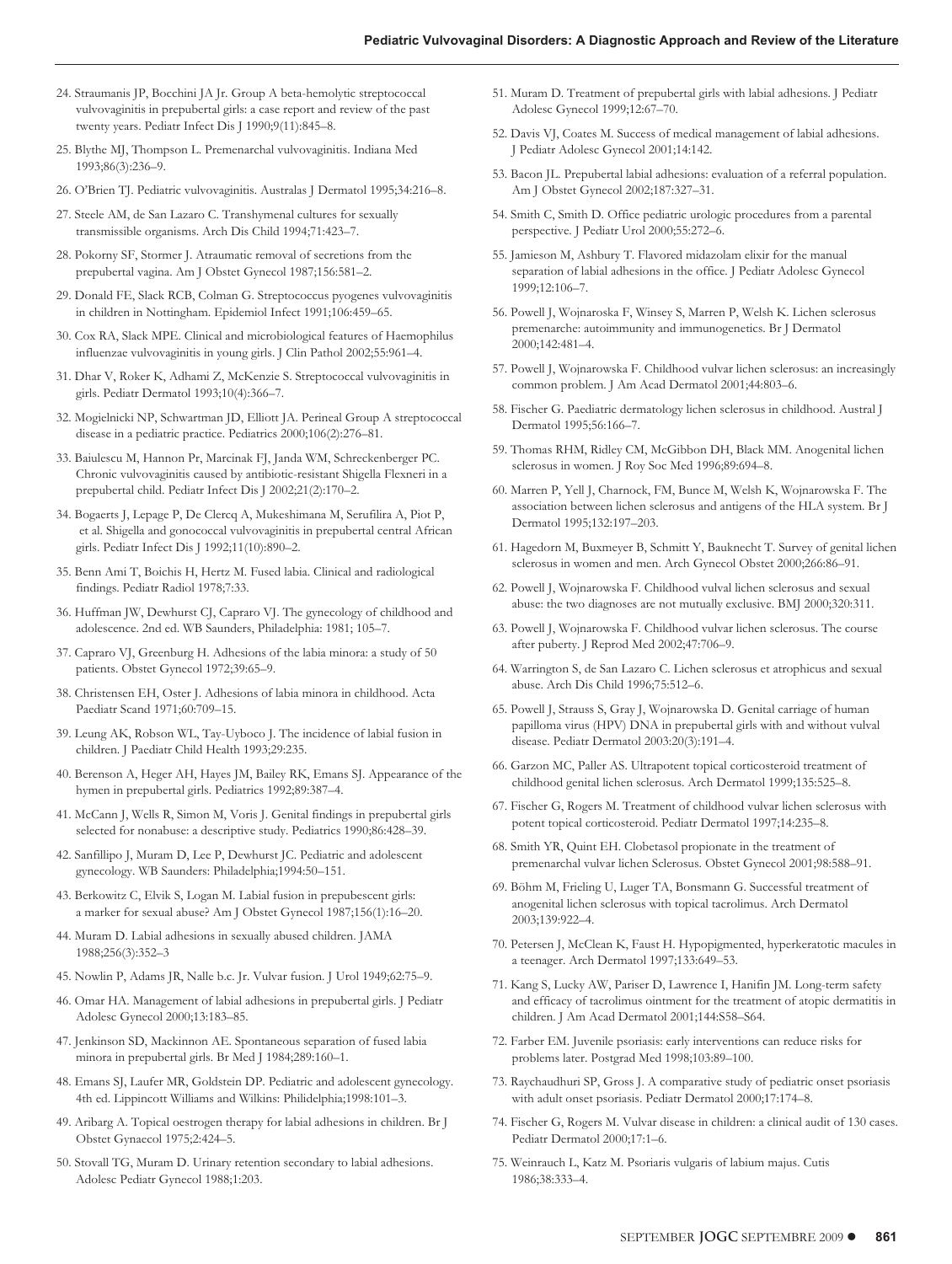- 24. Straumanis JP, Bocchini JA Jr. Group A beta-hemolytic streptococcal vulvovaginitis in prepubertal girls: a case report and review of the past twenty years. Pediatr Infect Dis J 1990;9(11):845–8.
- 25. Blythe MJ, Thompson L. Premenarchal vulvovaginitis. Indiana Med 1993;86(3):236–9.
- 26. O'Brien TJ. Pediatric vulvovaginitis. Australas J Dermatol 1995;34:216–8.
- 27. Steele AM, de San Lazaro C. Transhymenal cultures for sexually transmissible organisms. Arch Dis Child 1994;71:423–7.
- 28. Pokorny SF, Stormer J. Atraumatic removal of secretions from the prepubertal vagina. Am J Obstet Gynecol 1987;156:581–2.
- 29. Donald FE, Slack RCB, Colman G. Streptococcus pyogenes vulvovaginitis in children in Nottingham. Epidemiol Infect 1991;106:459–65.
- 30. Cox RA, Slack MPE. Clinical and microbiological features of Haemophilus influenzae vulvovaginitis in young girls. J Clin Pathol 2002;55:961–4.
- 31. Dhar V, Roker K, Adhami Z, McKenzie S. Streptococcal vulvovaginitis in girls. Pediatr Dermatol 1993;10(4):366–7.
- 32. Mogielnicki NP, Schwartman JD, Elliott JA. Perineal Group A streptococcal disease in a pediatric practice. Pediatrics 2000;106(2):276–81.
- 33. Baiulescu M, Hannon Pr, Marcinak FJ, Janda WM, Schreckenberger PC. Chronic vulvovaginitis caused by antibiotic-resistant Shigella Flexneri in a prepubertal child. Pediatr Infect Dis J 2002;21(2):170–2.
- 34. Bogaerts J, Lepage P, De Clercq A, Mukeshimana M, Serufilira A, Piot P, et al. Shigella and gonococcal vulvovaginitis in prepubertal central African girls. Pediatr Infect Dis J 1992;11(10):890–2.
- 35. Benn Ami T, Boichis H, Hertz M. Fused labia. Clinical and radiological findings. Pediatr Radiol 1978;7:33.
- 36. Huffman JW, Dewhurst CJ, Capraro VJ. The gynecology of childhood and adolescence. 2nd ed. WB Saunders, Philadelphia: 1981; 105–7.
- 37. Capraro VJ, Greenburg H. Adhesions of the labia minora: a study of 50 patients. Obstet Gynecol 1972;39:65–9.
- 38. Christensen EH, Oster J. Adhesions of labia minora in childhood. Acta Paediatr Scand 1971;60:709–15.
- 39. Leung AK, Robson WL, Tay-Uyboco J. The incidence of labial fusion in children. J Paediatr Child Health 1993;29:235.
- 40. Berenson A, Heger AH, Hayes JM, Bailey RK, Emans SJ. Appearance of the hymen in prepubertal girls. Pediatrics 1992;89:387–4.
- 41. McCann J, Wells R, Simon M, Voris J. Genital findings in prepubertal girls selected for nonabuse: a descriptive study. Pediatrics 1990;86:428–39.
- 42. Sanfillipo J, Muram D, Lee P, Dewhurst JC. Pediatric and adolescent gynecology. WB Saunders: Philadelphia;1994:50–151.
- 43. Berkowitz C, Elvik S, Logan M. Labial fusion in prepubescent girls: a marker for sexual abuse? Am J Obstet Gynecol 1987;156(1):16–20.
- 44. Muram D. Labial adhesions in sexually abused children. JAMA 1988;256(3):352–3
- 45. Nowlin P, Adams JR, Nalle b.c. Jr. Vulvar fusion. J Urol 1949;62:75–9.
- 46. Omar HA. Management of labial adhesions in prepubertal girls. J Pediatr Adolesc Gynecol 2000;13:183–85.
- 47. Jenkinson SD, Mackinnon AE. Spontaneous separation of fused labia minora in prepubertal girls. Br Med J 1984;289:160–1.
- 48. Emans SJ, Laufer MR, Goldstein DP. Pediatric and adolescent gynecology. 4th ed. Lippincott Williams and Wilkins: Philidelphia;1998:101–3.
- 49. Aribarg A. Topical oestrogen therapy for labial adhesions in children. Br J Obstet Gynaecol 1975;2:424–5.
- 50. Stovall TG, Muram D. Urinary retention secondary to labial adhesions. Adolesc Pediatr Gynecol 1988;1:203.
- 51. Muram D. Treatment of prepubertal girls with labial adhesions. J Pediatr Adolesc Gynecol 1999;12:67–70.
- 52. Davis VJ, Coates M. Success of medical management of labial adhesions. J Pediatr Adolesc Gynecol 2001;14:142.
- 53. Bacon JL. Prepubertal labial adhesions: evaluation of a referral population. Am J Obstet Gynecol 2002;187:327–31.
- 54. Smith C, Smith D. Office pediatric urologic procedures from a parental perspective. J Pediatr Urol 2000;55:272–6.
- 55. Jamieson M, Ashbury T. Flavored midazolam elixir for the manual separation of labial adhesions in the office. J Pediatr Adolesc Gynecol 1999;12:106–7.
- 56. Powell J, Wojnaroska F, Winsey S, Marren P, Welsh K. Lichen sclerosus premenarche: autoimmunity and immunogenetics. Br J Dermatol 2000;142:481–4.
- 57. Powell J, Wojnarowska F. Childhood vulvar lichen sclerosus: an increasingly common problem. J Am Acad Dermatol 2001;44:803–6.
- 58. Fischer G. Paediatric dermatology lichen sclerosus in childhood. Austral J Dermatol 1995;56:166–7.
- 59. Thomas RHM, Ridley CM, McGibbon DH, Black MM. Anogenital lichen sclerosus in women. J Roy Soc Med 1996;89:694–8.
- 60. Marren P, Yell J, Charnock, FM, Bunce M, Welsh K, Wojnarowska F. The association between lichen sclerosus and antigens of the HLA system. Br J Dermatol 1995;132:197–203.
- 61. Hagedorn M, Buxmeyer B, Schmitt Y, Bauknecht T. Survey of genital lichen sclerosus in women and men. Arch Gynecol Obstet 2000;266:86–91.
- 62. Powell J, Wojnarowska F. Childhood vulval lichen sclerosus and sexual abuse: the two diagnoses are not mutually exclusive. BMJ 2000;320:311.
- 63. Powell J, Wojnarowska F. Childhood vulvar lichen sclerosus. The course after puberty. J Reprod Med 2002;47:706–9.
- 64. Warrington S, de San Lazaro C. Lichen sclerosus et atrophicus and sexual abuse. Arch Dis Child 1996;75:512–6.
- 65. Powell J, Strauss S, Gray J, Wojnarowska D. Genital carriage of human papilloma virus (HPV) DNA in prepubertal girls with and without vulval disease. Pediatr Dermatol 2003:20(3):191–4.
- 66. Garzon MC, Paller AS. Ultrapotent topical corticosteroid treatment of childhood genital lichen sclerosus. Arch Dermatol 1999;135:525–8.
- 67. Fischer G, Rogers M. Treatment of childhood vulvar lichen sclerosus with potent topical corticosteroid. Pediatr Dermatol 1997;14:235–8.
- 68. Smith YR, Quint EH. Clobetasol propionate in the treatment of premenarchal vulvar lichen Sclerosus. Obstet Gynecol 2001;98:588–91.
- 69. Böhm M, Frieling U, Luger TA, Bonsmann G. Successful treatment of anogenital lichen sclerosus with topical tacrolimus. Arch Dermatol 2003;139:922–4.
- 70. Petersen J, McClean K, Faust H. Hypopigmented, hyperkeratotic macules in a teenager. Arch Dermatol 1997;133:649–53.
- 71. Kang S, Lucky AW, Pariser D, Lawrence I, Hanifin JM. Long-term safety and efficacy of tacrolimus ointment for the treatment of atopic dermatitis in children. J Am Acad Dermatol 2001;144:S58–S64.
- 72. Farber EM. Juvenile psoriasis: early interventions can reduce risks for problems later. Postgrad Med 1998;103:89–100.
- 73. Raychaudhuri SP, Gross J. A comparative study of pediatric onset psoriasis with adult onset psoriasis. Pediatr Dermatol 2000;17:174–8.
- 74. Fischer G, Rogers M. Vulvar disease in children: a clinical audit of 130 cases. Pediatr Dermatol 2000;17:1–6.
- 75. Weinrauch L, Katz M. Psoriaris vulgaris of labium majus. Cutis 1986;38:333–4.